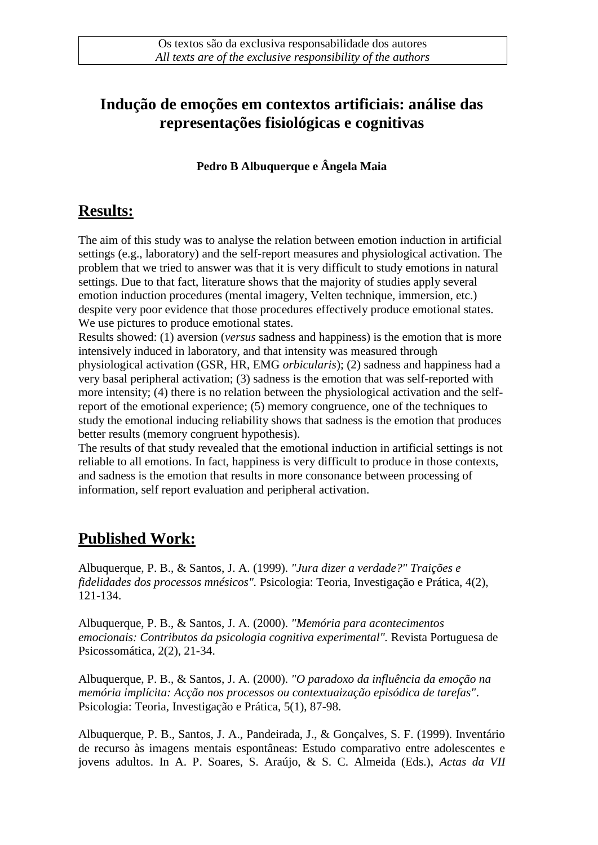## **Indução de emoções em contextos artificiais: análise das representações fisiológicas e cognitivas**

**Pedro B Albuquerque e Ângela Maia**

## **Results:**

The aim of this study was to analyse the relation between emotion induction in artificial settings (e.g., laboratory) and the self-report measures and physiological activation. The problem that we tried to answer was that it is very difficult to study emotions in natural settings. Due to that fact, literature shows that the majority of studies apply several emotion induction procedures (mental imagery, Velten technique, immersion, etc.) despite very poor evidence that those procedures effectively produce emotional states. We use pictures to produce emotional states.

Results showed: (1) aversion (*versus* sadness and happiness) is the emotion that is more intensively induced in laboratory, and that intensity was measured through physiological activation (GSR, HR, EMG *orbicularis*); (2) sadness and happiness had a very basal peripheral activation; (3) sadness is the emotion that was self-reported with more intensity; (4) there is no relation between the physiological activation and the selfreport of the emotional experience; (5) memory congruence, one of the techniques to study the emotional inducing reliability shows that sadness is the emotion that produces better results (memory congruent hypothesis).

The results of that study revealed that the emotional induction in artificial settings is not reliable to all emotions. In fact, happiness is very difficult to produce in those contexts, and sadness is the emotion that results in more consonance between processing of information, self report evaluation and peripheral activation.

## **Published Work:**

Albuquerque, P. B., & Santos, J. A. (1999). *"Jura dizer a verdade?" Traições e fidelidades dos processos mnésicos".* Psicologia: Teoria, Investigação e Prática, 4(2), 121-134.

Albuquerque, P. B., & Santos, J. A. (2000). *"Memória para acontecimentos emocionais: Contributos da psicologia cognitiva experimental".* Revista Portuguesa de Psicossomática, 2(2), 21-34.

Albuquerque, P. B., & Santos, J. A. (2000). *"O paradoxo da influência da emoção na memória implícita: Acção nos processos ou contextuaização episódica de tarefas"*. Psicologia: Teoria, Investigação e Prática, 5(1), 87-98.

Albuquerque, P. B., Santos, J. A., Pandeirada, J., & Gonçalves, S. F. (1999). Inventário de recurso às imagens mentais espontâneas: Estudo comparativo entre adolescentes e jovens adultos. In A. P. Soares, S. Araújo, & S. C. Almeida (Eds.), *Actas da VII*